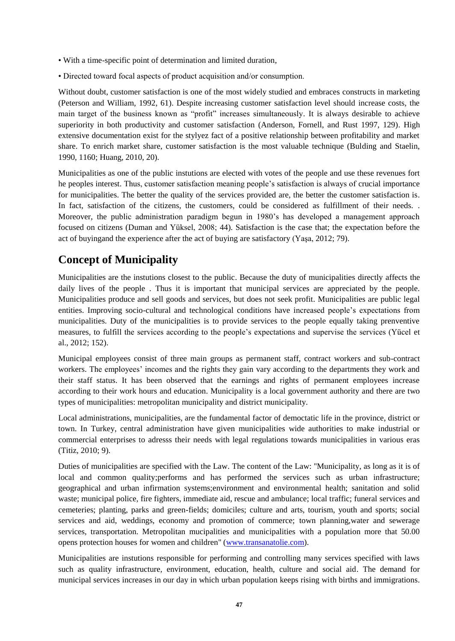- With a time-specific point of determination and limited duration,
- Directed toward focal aspects of product acquisition and/or consumption.

Without doubt, customer satisfaction is one of the most widely studied and embraces constructs in marketing (Peterson and William, 1992, 61). Despite increasing customer satisfaction level should increase costs, the main target of the business known as "profit" increases simultaneously. It is always desirable to achieve superiority in both productivity and customer satisfaction (Anderson, Fornell, and Rust 1997, 129). High extensive documentation exist for the stylyez fact of a positive relationship between profitability and market share. To enrich market share, customer satisfaction is the most valuable technique (Bulding and Staelin, 1990, 1160; Huang, 2010, 20).

Municipalities as one of the public instutions are elected with votes of the people and use these revenues fort he peoples interest. Thus, customer satisfaction meaning people"s satisfaction is always of crucial importance for municipalities. The better the quality of the services provided are, the better the customer satisfaction is. In fact, satisfaction of the citizens, the customers, could be considered as fulfillment of their needs. . Moreover, the public administration paradigm begun in 1980"s has developed a management approach focused on citizens (Duman and Yüksel, 2008; 44). Satisfaction is the case that; the expectation before the act of buyingand the experience after the act of buying are satisfactory (Yaşa, 2012; 79).

## **Concept of Municipality**

Municipalities are the instutions closest to the public. Because the duty of municipalities directly affects the daily lives of the people . Thus it is important that municipal services are appreciated by the people. Municipalities produce and sell goods and services, but does not seek profit. Municipalities are public legal entities. Improving socio-cultural and technological conditions have increased people"s expectations from municipalities. Duty of the municipalities is to provide services to the people equally taking prenventive measures, to fulfill the services according to the people"s expectations and supervise the services (Yücel et al., 2012; 152).

Municipal employees consist of three main groups as permanent staff, contract workers and sub-contract workers. The employees' incomes and the rights they gain vary according to the departments they work and their staff status. It has been observed that the earnings and rights of permanent employees increase according to their work hours and education. Municipality is a local government authority and there are two types of municipalities: metropolitan municipality and district municipality.

Local administrations, municipalities, are the fundamental factor of democtatic life in the province, district or town. In Turkey, central administration have given municipalities wide authorities to make industrial or commercial enterprises to adresss their needs with legal regulations towards municipalities in various eras (Titiz, 2010; 9).

Duties of municipalities are specified with the Law. The content of the Law: ''Municipality, as long as it is of local and common quality;performs and has performed the services such as urban infrastructure; geographical and urban infirmation systems;environment and environmental health; sanitation and solid waste; municipal police, fire fighters, immediate aid, rescue and ambulance; local traffic; funeral services and cemeteries; planting, parks and green-fields; domiciles; culture and arts, tourism, youth and sports; social services and aid, weddings, economy and promotion of commerce; town planning,water and sewerage services, transportation. Metropolitan mucipalities and municipalities with a population more that 50.00 opens protection houses for women and children'' [\(www.transanatolie.com\)](http://www.transanatolie.com/ic/Doc/bldgyvi.pdf).

Municipalities are instutions responsible for performing and controlling many services specified with laws such as quality infrastructure, environment, education, health, culture and social aid. The demand for municipal services increases in our day in which urban population keeps rising with births and immigrations.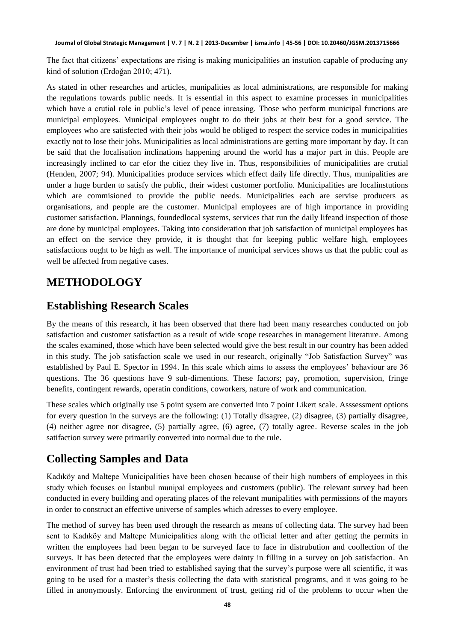The fact that citizens" expectations are rising is making municipalities an instution capable of producing any kind of solution (Erdoğan 2010; 471).

As stated in other researches and articles, munipalities as local administrations, are responsible for making the regulations towards public needs. It is essential in this aspect to examine processes in municipalities which have a crutial role in public's level of peace inreasing. Those who perform municipal functions are municipal employees. Municipal employees ought to do their jobs at their best for a good service. The employees who are satisfected with their jobs would be obliged to respect the service codes in municipalities exactly not to lose their jobs. Municipalities as local administrations are getting more important by day. It can be said that the localisation inclinations happening around the world has a major part in this. People are increasingly inclined to car efor the citiez they live in. Thus, responsibilities of municipalities are crutial (Henden, 2007; 94). Municipalities produce services which effect daily life directly. Thus, munipalities are under a huge burden to satisfy the public, their widest customer portfolio. Municipalities are localinstutions which are commisioned to provide the public needs. Municipalities each are servise producers as organisations, and people are the customer. Municipal employees are of high importance in providing customer satisfaction. Plannings, foundedlocal systems, services that run the daily lifeand inspection of those are done by municipal employees. Taking into consideration that job satisfaction of municipal employees has an effect on the service they provide, it is thought that for keeping public welfare high, employees satisfactions ought to be high as well. The importance of municipal services shows us that the public coul as well be affected from negative cases.

## **METHODOLOGY**

#### **Establishing Research Scales**

By the means of this research, it has been observed that there had been many researches conducted on job satisfaction and customer satisfaction as a result of wide scope researches in management literature. Among the scales examined, those which have been selected would give the best result in our country has been added in this study. The job satisfaction scale we used in our research, originally "Job Satisfaction Survey" was established by Paul E. Spector in 1994. In this scale which aims to assess the employees" behaviour are 36 questions. The 36 questions have 9 sub-dimentions. These factors; pay, promotion, supervision, fringe benefits, contingent rewards, operatin conditions, coworkers, nature of work and communication.

These scales which originally use 5 point sysem are converted into 7 point Likert scale. Asssessment options for every question in the surveys are the following: (1) Totally disagree, (2) disagree, (3) partially disagree, (4) neither agree nor disagree, (5) partially agree, (6) agree, (7) totally agree. Reverse scales in the job satifaction survey were primarily converted into normal due to the rule.

## **Collecting Samples and Data**

Kadıköy and Maltepe Municipalities have been chosen because of their high numbers of employees in this study which focuses on Istanbul munipal employees and customers (public). The relevant survey had been conducted in every building and operating places of the relevant munipalities with permissions of the mayors in order to construct an effective universe of samples which adresses to every employee.

The method of survey has been used through the research as means of collecting data. The survey had been sent to Kadıköy and Maltepe Municipalities along with the official letter and after getting the permits in written the employees had been began to be surveyed face to face in distrubution and coollection of the surveys. It has been detected that the employees were dainty in filling in a survey on job satisfaction. An environment of trust had been tried to established saying that the survey"s purpose were all scientific, it was going to be used for a master"s thesis collecting the data with statistical programs, and it was going to be filled in anonymously. Enforcing the environment of trust, getting rid of the problems to occur when the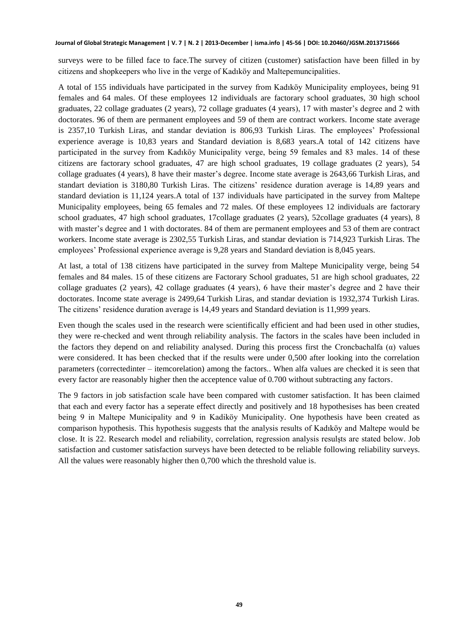surveys were to be filled face to face.The survey of citizen (customer) satisfaction have been filled in by citizens and shopkeepers who live in the verge of Kadıköy and Maltepemuncipalities.

A total of 155 individuals have participated in the survey from Kadıköy Municipality employees, being 91 females and 64 males. Of these employees 12 individuals are factorary school graduates, 30 high school graduates, 22 collage graduates (2 years), 72 collage graduates (4 years), 17 with master"s degree and 2 with doctorates. 96 of them are permanent employees and 59 of them are contract workers. Income state average is 2357,10 Turkish Liras, and standar deviation is 806,93 Turkish Liras. The employees" Professional experience average is 10,83 years and Standard deviation is 8,683 years.A total of 142 citizens have participated in the survey from Kadıköy Municipality verge, being 59 females and 83 males. 14 of these citizens are factorary school graduates, 47 are high school graduates, 19 collage graduates (2 years), 54 collage graduates (4 years), 8 have their master"s degree. Income state average is 2643,66 Turkish Liras, and standart deviation is 3180,80 Turkish Liras. The citizens" residence duration average is 14,89 years and standard deviation is 11,124 years.A total of 137 individuals have participated in the survey from Maltepe Municipality employees, being 65 females and 72 males. Of these employees 12 individuals are factorary school graduates, 47 high school graduates, 17collage graduates (2 years), 52collage graduates (4 years), 8 with master's degree and 1 with doctorates. 84 of them are permanent employees and 53 of them are contract workers. Income state average is 2302,55 Turkish Liras, and standar deviation is 714,923 Turkish Liras. The employees" Professional experience average is 9,28 years and Standard deviation is 8,045 years.

At last, a total of 138 citizens have participated in the survey from Maltepe Municipality verge, being 54 females and 84 males. 15 of these citizens are Factorary School graduates, 51 are high school graduates, 22 collage graduates (2 years), 42 collage graduates (4 years), 6 have their master"s degree and 2 have their doctorates. Income state average is 2499,64 Turkish Liras, and standar deviation is 1932,374 Turkish Liras. The citizens" residence duration average is 14,49 years and Standard deviation is 11,999 years.

Even though the scales used in the research were scientifically efficient and had been used in other studies, they were re-checked and went through reliability analysis. The factors in the scales have been included in the factors they depend on and reliability analysed. During this process first the Croncbachalfa  $(\alpha)$  values were considered. It has been checked that if the results were under 0,500 after looking into the correlation parameters (correctedinter – itemcorelation) among the factors.. When alfa values are checked it is seen that every factor are reasonably higher then the acceptence value of 0.700 without subtracting any factors.

The 9 factors in job satisfaction scale have been compared with customer satisfaction. It has been claimed that each and every factor has a seperate effect directly and positively and 18 hypothesises has been created being 9 in Maltepe Municipality and 9 in Kadiköy Municipality. One hypothesis have been created as comparison hypothesis. This hypothesis suggests that the analysis results of Kadıköy and Maltepe would be close. It is 22. Research model and reliability, correlation, regression analysis resulsts are stated below. Job satisfaction and customer satisfaction surveys have been detected to be reliable following reliability surveys. All the values were reasonably higher then 0,700 which the threshold value is.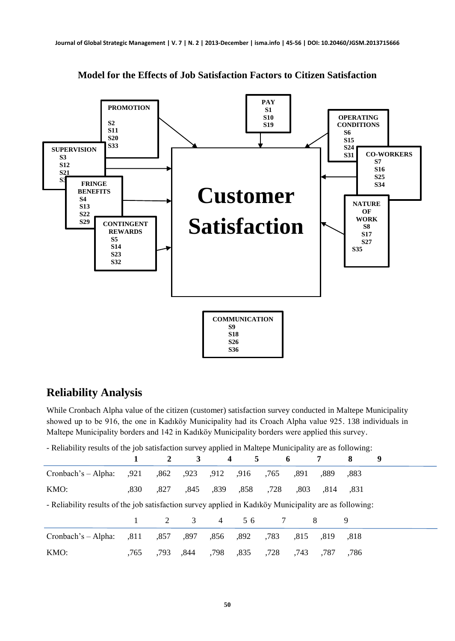

**Model for the Effects of Job Satisfaction Factors to Citizen Satisfaction**

#### **Reliability Analysis**

While Cronbach Alpha value of the citizen (customer) satisfaction survey conducted in Maltepe Municipality showed up to be 916, the one in Kadıköy Municipality had its Croach Alpha value 925. 138 individuals in Maltepe Municipality borders and 142 in Kadıköy Municipality borders were applied this survey.

- Reliability results of the job satisfaction survey applied in Maltepe Municipality are as following:

|                                                                                                        |      | $\mathbf{2}$ | $\mathbf{3}$ | $\overline{4}$ | 5    |      | 6    |      | 8    | 9 |
|--------------------------------------------------------------------------------------------------------|------|--------------|--------------|----------------|------|------|------|------|------|---|
| $Crohach's - Alpha:$                                                                                   | ,921 | .862         | ,923         | .912           | .916 | .765 | .891 | .889 | ,883 |   |
| KMO:                                                                                                   | .830 | .827         | .845         | .839           | .858 | ,728 | .803 | .814 | .831 |   |
| - Reliability results of the job satisfaction survey applied in Kadiköy Municipality are as following: |      |              |              |                |      |      |      |      |      |   |
|                                                                                                        |      | $2^{\circ}$  | 3            | $\overline{4}$ | 56   |      |      | 8    | 9    |   |
| Cronbach's - Alpha:                                                                                    | .811 | .857         | .897         | .856           | .892 | .783 | .815 | .819 | .818 |   |
| KMO:                                                                                                   | .765 | .793         | .844         | .798           | ,835 | .728 | .743 | .787 | .786 |   |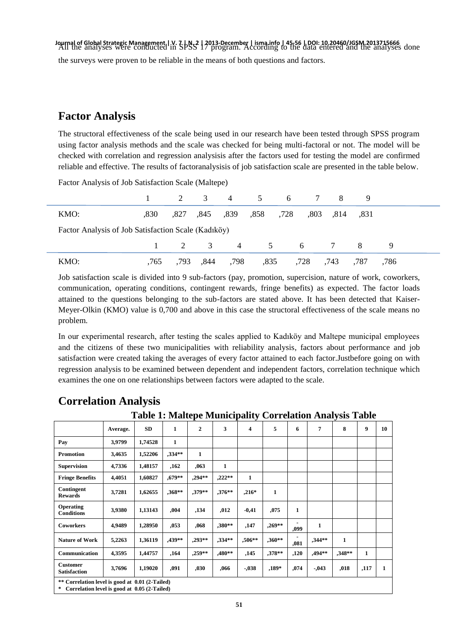Journal of Global Strategic Management, | V. 7 | N. 2 | 2013-December | isma.info | 45-56 | DOI: 10.20460/JGSM.2013715666<br>All the analyses were conducted in SPSS 17 program. According to the data entered and the analyses d the surveys were proven to be reliable in the means of both questions and factors.

### **Factor Analysis**

The structoral effectiveness of the scale being used in our research have been tested through SPSS program using factor analysis methods and the scale was checked for being multi-factoral or not. The model will be checked with correlation and regression analysisis after the factors used for testing the model are confirmed reliable and effective. The results of factoranalysisis of job satisfaction scale are presented in the table below.

Factor Analysis of Job Satisfaction Scale (Maltepe)

|                                                     |      |      |      |      | 2 3 4 5 6 7 8 9           |  |                |      |      |      |  |
|-----------------------------------------------------|------|------|------|------|---------------------------|--|----------------|------|------|------|--|
| KMO:                                                | .830 |      |      |      | ,827, 839, 839, 845, 827, |  | 831, 814, 803, |      |      |      |  |
| Factor Analysis of Job Satisfaction Scale (Kadıköy) |      |      |      |      |                           |  |                |      |      |      |  |
|                                                     |      |      |      |      | 1 2 3 4 5 6 7 8 9         |  |                |      |      |      |  |
| KMO:                                                | .765 | .793 | .844 | ,798 | ,835                      |  | ,728           | ,743 | .787 | .786 |  |

Job satisfaction scale is divided into 9 sub-factors (pay, promotion, supercision, nature of work, coworkers, communication, operating conditions, contingent rewards, fringe benefits) as expected. The factor loads attained to the questions belonging to the sub-factors are stated above. It has been detected that Kaiser-Meyer-Olkin (KMO) value is 0,700 and above in this case the structoral effectiveness of the scale means no problem.

In our experimental research, after testing the scales applied to Kadıköy and Maltepe municipal employees and the citizens of these two municipalities with reliability analysis, factors about performance and job satisfaction were created taking the averages of every factor attained to each factor.Justbefore going on with regression analysis to be examined between dependent and independent factors, correlation technique which examines the one on one relationships between factors were adapted to the scale.

|                                        |          | Table 1: Maitepe Municipality Correlation Analysis Table |           |              |          |         |          |      |          |              |      |    |
|----------------------------------------|----------|----------------------------------------------------------|-----------|--------------|----------|---------|----------|------|----------|--------------|------|----|
|                                        | Average. | <b>SD</b>                                                | 1         | $\mathbf{2}$ | 3        | 4       | 5        | 6    | 7        | 8            | 9    | 10 |
| Pay                                    | 3,9799   | 1,74528                                                  | 1         |              |          |         |          |      |          |              |      |    |
| <b>Promotion</b>                       | 3,4635   | 1,52206                                                  | $.334**$  | $\mathbf{1}$ |          |         |          |      |          |              |      |    |
| <b>Supervision</b>                     | 4,7336   | 1,48157                                                  | ,162      | ,063         | 1        |         |          |      |          |              |      |    |
| <b>Fringe Benefits</b>                 | 4,4051   | 1,60827                                                  | $0.679**$ | ,294**       | $222**$  | 1       |          |      |          |              |      |    |
| Contingent<br><b>Rewards</b>           | 3,7281   | 1,62655                                                  | ,368**    | ,379**       | $376**$  | $,216*$ | 1        |      |          |              |      |    |
| Operating<br><b>Conditions</b>         | 3,9380   | 1,13143                                                  | ,004      | ,134         | ,012     | $-0,41$ | ,075     | 1    |          |              |      |    |
| <b>Coworkers</b>                       | 4.9489   | 1,28950                                                  | ,053      | ,068         | .380**   | ,147    | $.269**$ | ,099 | 1        |              |      |    |
| <b>Nature of Work</b>                  | 5,2263   | 1,36119                                                  | ,439**    | ,293**       | $.334**$ | ,506**  | $,360**$ | ,081 | $,344**$ | $\mathbf{1}$ |      |    |
| Communication                          | 4,3595   | 1,44757                                                  | ,164      | $.259**$     | $.480**$ | ,145    | $,378**$ | ,120 | $.494**$ | $.348**$     | 1    |    |
| <b>Customer</b><br><b>Satisfaction</b> | 3,7696   | 1,19020                                                  | ,091      | ,030         | ,066     | $-.038$ | $,189*$  | ,074 | $-0.43$  | ,018         | ,117 | 1  |

#### **Correlation Analysis**

**Table 1: Maltepe Municipality Correlation Analysis Table** 

**\* Correlation level is good at 0.05 (2-Tailed)**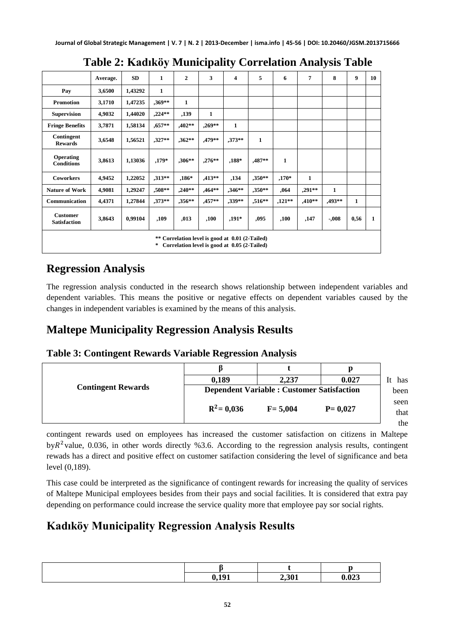|                                                                                                          | Average. | <b>SD</b> | 1         | $\overline{2}$ | 3            | $\overline{\mathbf{4}}$ | 5            | 6            | 7        | 8        | 9            | 10           |
|----------------------------------------------------------------------------------------------------------|----------|-----------|-----------|----------------|--------------|-------------------------|--------------|--------------|----------|----------|--------------|--------------|
| Pay                                                                                                      | 3,6500   | 1,43292   | 1         |                |              |                         |              |              |          |          |              |              |
| <b>Promotion</b>                                                                                         | 3,1710   | 1,47235   | $,369**$  | $\mathbf{1}$   |              |                         |              |              |          |          |              |              |
| <b>Supervision</b>                                                                                       | 4,9032   | 1,44020   | $,224**$  | ,139           | $\mathbf{1}$ |                         |              |              |          |          |              |              |
| <b>Fringe Benefits</b>                                                                                   | 3,7871   | 1,58134   | $0.657**$ | $,402**$       | $0.269**$    | $\mathbf{1}$            |              |              |          |          |              |              |
| Contingent<br><b>Rewards</b>                                                                             | 3,6548   | 1,56521   | $,327**$  | $,362**$       | ,479**       | $.373**$                | $\mathbf{1}$ |              |          |          |              |              |
| <b>Operating</b><br><b>Conditions</b>                                                                    | 3,8613   | 1,13036   | $,179*$   | $,306***$      | $0.276**$    | $0.188*$                | ,487**       | $\mathbf{1}$ |          |          |              |              |
| <b>Coworkers</b>                                                                                         | 4,9452   | 1,22052   | $,313**$  | $,186*$        | $,413**$     | ,134                    | $,350**$     | $,170*$      | 1        |          |              |              |
| <b>Nature of Work</b>                                                                                    | 4,9081   | 1,29247   | ,508**    | $,240**$       | $,464**$     | $,346**$                | $,350**$     | ,064         | $,291**$ | 1        |              |              |
| Communication                                                                                            | 4,4371   | 1,27844   | $.373**$  | $.356**$       | ,457**       | $.339**$                | $,516**$     | $,121**$     | $,410**$ | $,493**$ | $\mathbf{1}$ |              |
| <b>Customer</b><br><b>Satisfaction</b>                                                                   | 3,8643   | 0,99104   | ,109      | ,013           | ,100         | $,191*$                 | ,095         | ,100         | ,147     | $-.008$  | 0,56         | $\mathbf{1}$ |
| ** Correlation level is good at 0.01 (2-Tailed)<br>$\pm$<br>Correlation level is good at 0.05 (2-Tailed) |          |           |           |                |              |                         |              |              |          |          |              |              |

## **Table 2: Kadıköy Municipality Correlation Analysis Table**

## **Regression Analysis**

The regression analysis conducted in the research shows relationship between independent variables and dependent variables. This means the positive or negative effects on dependent variables caused by the changes in independent variables is examined by the means of this analysis.

# **Maltepe Municipality Regression Analysis Results**

#### **Table 3: Contingent Rewards Variable Regression Analysis**

|                           | 0.189                                             | 2.237       | 0.027       | It has       |
|---------------------------|---------------------------------------------------|-------------|-------------|--------------|
| <b>Contingent Rewards</b> | <b>Dependent Variable : Customer Satisfaction</b> | been        |             |              |
|                           | $R^2$ = 0,036                                     | $F = 5.004$ | $P = 0.027$ | seen<br>that |
|                           |                                                   |             |             | the          |

contingent rewards used on employees has increased the customer satisfaction on citizens in Maltepe by  $R^2$  value, 0.036, in other words directly %3.6. According to the regression analysis results, contingent rewads has a direct and positive effect on customer satifaction considering the level of significance and beta level (0,189).

This case could be interpreted as the significance of contingent rewards for increasing the quality of services of Maltepe Municipal employees besides from their pays and social facilities. It is considered that extra pay depending on performance could increase the service quality more that employee pay sor social rights.

# **Kadıköy Municipality Regression Analysis Results**

|       | --    |
|-------|-------|
|       |       |
| 101   |       |
| い・エノエ | 0.023 |
|       | 2,301 |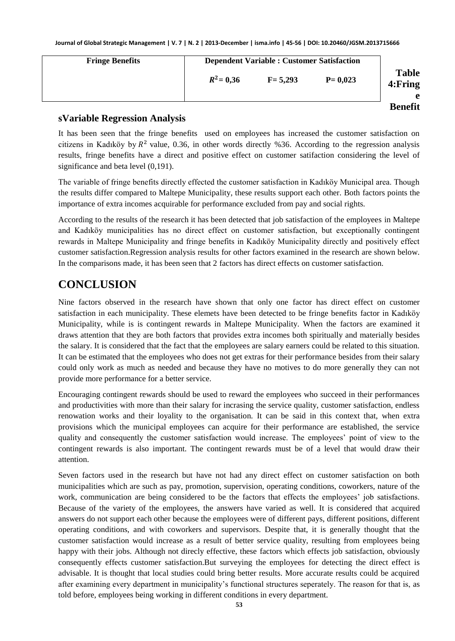| <b>Fringe Benefits</b> |              |             | <b>Dependent Variable: Customer Satisfaction</b> |                               |  |  |  |
|------------------------|--------------|-------------|--------------------------------------------------|-------------------------------|--|--|--|
|                        | $R^2 = 0.36$ | $F = 5.293$ | $P = 0.023$                                      | <b>Table</b><br>4: Fring<br>e |  |  |  |
|                        |              |             |                                                  | <b>Benefit</b>                |  |  |  |

#### **sVariable Regression Analysis**

It has been seen that the fringe benefits used on employees has increased the customer satisfaction on citizens in Kadıköy by  $R^2$  value, 0.36, in other words directly %36. According to the regression analysis results, fringe benefits have a direct and positive effect on customer satifaction considering the level of significance and beta level  $(0,191)$ .

The variable of fringe benefits directly effected the customer satisfaction in Kadıköy Municipal area. Though the results differ compared to Maltepe Municipality, these results support each other. Both factors points the importance of extra incomes acquirable for performance excluded from pay and social rights.

According to the results of the research it has been detected that job satisfaction of the employees in Maltepe and Kadıköy municipalities has no direct effect on customer satisfaction, but exceptionally contingent rewards in Maltepe Municipality and fringe benefits in Kadıköy Municipality directly and positively effect customer satisfaction.Regression analysis results for other factors examined in the research are shown below. In the comparisons made, it has been seen that 2 factors has direct effects on customer satisfaction.

## **CONCLUSION**

Nine factors observed in the research have shown that only one factor has direct effect on customer satisfaction in each municipality. These elemets have been detected to be fringe benefits factor in Kadıköy Municipality, while is is contingent rewards in Maltepe Municipality. When the factors are examined it draws attention that they are both factors that provides extra incomes both spiritually and materially besides the salary. It is considered that the fact that the employees are salary earners could be related to this situation. It can be estimated that the employees who does not get extras for their performance besides from their salary could only work as much as needed and because they have no motives to do more generally they can not provide more performance for a better service.

Encouraging contingent rewards should be used to reward the employees who succeed in their performances and productivities with more than their salary for incrasing the service quality, customer satisfaction, endless renowation works and their loyality to the organisation. It can be said in this context that, when extra provisions which the municipal employees can acquire for their performance are established, the service quality and consequently the customer satisfaction would increase. The employees" point of view to the contingent rewards is also important. The contingent rewards must be of a level that would draw their attention.

Seven factors used in the research but have not had any direct effect on customer satisfaction on both municipalities which are such as pay, promotion, supervision, operating conditions, coworkers, nature of the work, communication are being considered to be the factors that effects the employees' job satisfactions. Because of the variety of the employees, the answers have varied as well. It is considered that acquired answers do not support each other because the employees were of different pays, different positions, different operating conditions, and with coworkers and supervisors. Despite that, it is generally thought that the customer satisfaction would increase as a result of better service quality, resulting from employees being happy with their jobs. Although not direcly effective, these factors which effects job satisfaction, obviously consequently effects customer satisfaction.But surveying the employees for detecting the direct effect is advisable. It is thought that local studies could bring better results. More accurate results could be acquired after examining every department in municipality's functional structures seperately. The reason for that is, as told before, employees being working in different conditions in every department.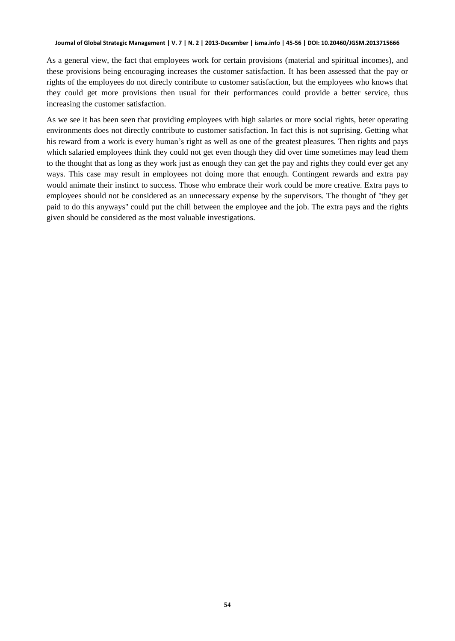As a general view, the fact that employees work for certain provisions (material and spiritual incomes), and these provisions being encouraging increases the customer satisfaction. It has been assessed that the pay or rights of the employees do not direcly contribute to customer satisfaction, but the employees who knows that they could get more provisions then usual for their performances could provide a better service, thus increasing the customer satisfaction.

As we see it has been seen that providing employees with high salaries or more social rights, beter operating environments does not directly contribute to customer satisfaction. In fact this is not suprising. Getting what his reward from a work is every human's right as well as one of the greatest pleasures. Then rights and pays which salaried employees think they could not get even though they did over time sometimes may lead them to the thought that as long as they work just as enough they can get the pay and rights they could ever get any ways. This case may result in employees not doing more that enough. Contingent rewards and extra pay would animate their instinct to success. Those who embrace their work could be more creative. Extra pays to employees should not be considered as an unnecessary expense by the supervisors. The thought of ''they get paid to do this anyways'' could put the chill between the employee and the job. The extra pays and the rights given should be considered as the most valuable investigations.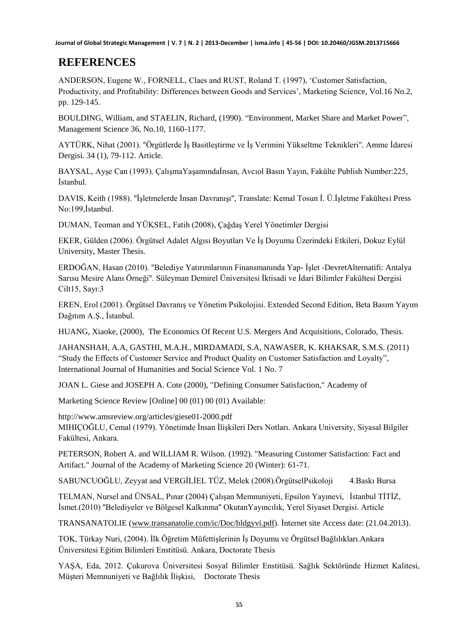## **REFERENCES**

ANDERSON, Eugene W., FORNELL, Claes and RUST, Roland T. (1997), "Customer Satisfaction, Productivity, and Profitability: Differences between Goods and Services", Marketing Science, Vol.16 No.2, pp. 129-145.

BOULDING, William, and STAELIN, Richard, (1990). "Environment, Market Share and Market Power", Management Science 36, No.10, 1160-1177.

AYTÜRK, Nihat (2001). "Örgütlerde İs Basitlestirme ve İs Verimini Yükseltme Teknikleri". Amme İdaresi Dergisi. 34 (1), 79-112. Article.

BAYSAL, Ayşe Can (1993). ÇalışmaYaşamındaİnsan, Avcıol Basın Yayın, Fakülte Publish Number:225, İstanbul.

DAVIS, Keith (1988). "İşletmelerde İnsan Davranışı", Translate: Kemal Tosun İ. Ü.İşletme Fakültesi Press No:199, İstanbul.

DUMAN, Teoman and YÜKSEL, Fatih (2008), ÇağdaĢ Yerel Yönetimler Dergisi

EKER, Gülden (2006). Örgütsel Adalet Algısı Boyutları Ve ĠĢ Doyumu Üzerindeki Etkileri, Dokuz Eylül University, Master Thesis.

ERDOĞAN, Hasan (2010). ''Belediye Yatırımlarının Finansmanında Yap- ĠĢlet -DevretAlternatifi: Antalya Sarısu Mesire Alanı Örneği''. Süleyman Demirel Üniversitesi İktisadi ve İdari Bilimler Fakültesi Dergisi Cilt15, Sayı:3

EREN, Erol (2001). Örgütsel Davranış ve Yönetim Psikolojisi. Extended Second Edition, Beta Basım Yayım Dağıtım A.Ş., İstanbul.

HUANG, Xiaoke, (2000), The Economics Of Recent U.S. Mergers And Acquisitions, Colorado, Thesis.

JAHANSHAH, A.A, GASTHI, M.A.H., MIRDAMADI, S.A, NAWASER, K. KHAKSAR, S.M.S. (2011) "Study the Effects of Customer Service and Product Quality on Customer Satisfaction and Loyalty", International Journal of Humanities and Social Science Vol. 1 No. 7

JOAN L. Giese and JOSEPH A. Cote (2000), "Defining Consumer Satisfaction," Academy of

Marketing Science Review [Online] 00 (01) 00 (01) Available:

http://www.amsreview.org/articles/giese01-2000.pdf MIHIÇOĞLU, Cemal (1979). Yönetimde İnsan İlişkileri Ders Notları. Ankara University, Siyasal Bilgiler Fakültesi, Ankara.

PETERSON, Robert A. and WILLIAM R. Wilson. (1992). "Measuring Customer Satisfaction: Fact and Artifact." Journal of the Academy of Marketing Science 20 (Winter): 61-71.

SABUNCUOĞLU, Zeyyat and VERGİLİEL TÜZ, Melek (2008).ÖrgütselPsikoloji 4.Baskı Bursa

TELMAN, Nursel and ÜNSAL, Pınar (2004) Çalışan Memnuniyeti, Epsilon Yayınevi, İstanbul TİTİZ, İsmet.(2010) "Belediyeler ve Bölgesel Kalkınma" OkutanYayıncılık, Yerel Siyaset Dergisi. Article

TRANSANATOLIE [\(www.transanatolie.com/ic/Doc/bldgyvi.pdf\)](http://www.transanatolie.com/ic/Doc/bldgyvi.pdf). Internet site Access date: (21.04.2013).

TOK, Türkay Nuri, (2004). İlk Öğretim Müfettişlerinin İş Doyumu ve Örgütsel Bağlılıkları.Ankara Üniversitesi Eğitim Bilimleri Enstitüsü. Ankara, Doctorate Thesis

YAġA, Eda, 2012. Çukurova Üniversitesi Sosyal Bilimler Enstitüsü. Sağlık Sektöründe Hizmet Kalitesi, Müşteri Memnuniyeti ve Bağlılık İlişkisi, Doctorate Thesis